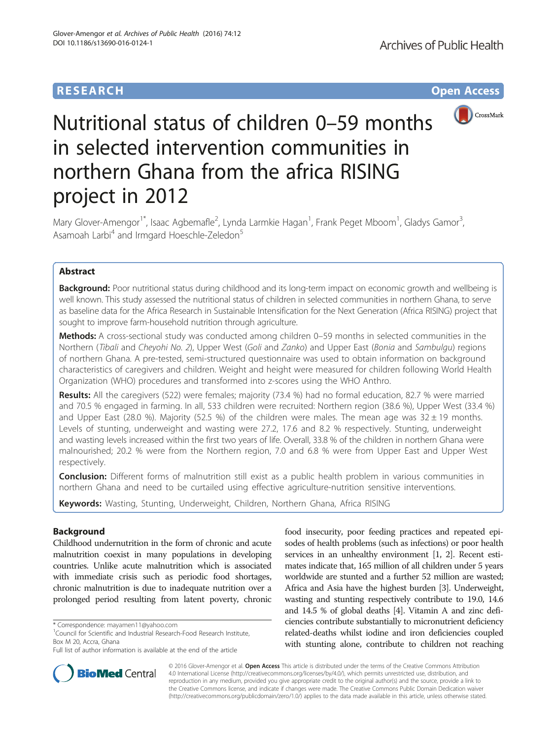# **RESEARCH CHE Open Access**



# Nutritional status of children 0–59 months in selected intervention communities in northern Ghana from the africa RISING project in 2012

Mary Glover-Amengor<sup>1\*</sup>, Isaac Agbemafle<sup>2</sup>, Lynda Larmkie Hagan<sup>1</sup>, Frank Peget Mboom<sup>1</sup>, Gladys Gamor<sup>3</sup> , Asamoah Larbi<sup>4</sup> and Irmgard Hoeschle-Zeledon<sup>5</sup>

# Abstract

Background: Poor nutritional status during childhood and its long-term impact on economic growth and wellbeing is well known. This study assessed the nutritional status of children in selected communities in northern Ghana, to serve as baseline data for the Africa Research in Sustainable Intensification for the Next Generation (Africa RISING) project that sought to improve farm-household nutrition through agriculture.

Methods: A cross-sectional study was conducted among children 0-59 months in selected communities in the Northern (Tibali and Cheyohi No. 2), Upper West (Goli and Zanko) and Upper East (Bonia and Sambulgu) regions of northern Ghana. A pre-tested, semi-structured questionnaire was used to obtain information on background characteristics of caregivers and children. Weight and height were measured for children following World Health Organization (WHO) procedures and transformed into z-scores using the WHO Anthro.

Results: All the caregivers (522) were females; majority (73.4 %) had no formal education, 82.7 % were married and 70.5 % engaged in farming. In all, 533 children were recruited: Northern region (38.6 %), Upper West (33.4 %) and Upper East (28.0 %). Majority (52.5 %) of the children were males. The mean age was  $32 \pm 19$  months. Levels of stunting, underweight and wasting were 27.2, 17.6 and 8.2 % respectively. Stunting, underweight and wasting levels increased within the first two years of life. Overall, 33.8 % of the children in northern Ghana were malnourished; 20.2 % were from the Northern region, 7.0 and 6.8 % were from Upper East and Upper West respectively.

**Conclusion:** Different forms of malnutrition still exist as a public health problem in various communities in northern Ghana and need to be curtailed using effective agriculture-nutrition sensitive interventions.

Keywords: Wasting, Stunting, Underweight, Children, Northern Ghana, Africa RISING

# **Background**

Childhood undernutrition in the form of chronic and acute malnutrition coexist in many populations in developing countries. Unlike acute malnutrition which is associated with immediate crisis such as periodic food shortages, chronic malnutrition is due to inadequate nutrition over a prolonged period resulting from latent poverty, chronic

<sup>1</sup> Council for Scientific and Industrial Research-Food Research Institute, Box M 20, Accra, Ghana

food insecurity, poor feeding practices and repeated episodes of health problems (such as infections) or poor health services in an unhealthy environment [[1](#page-10-0), [2](#page-10-0)]. Recent estimates indicate that, 165 million of all children under 5 years worldwide are stunted and a further 52 million are wasted; Africa and Asia have the highest burden [[3](#page-10-0)]. Underweight, wasting and stunting respectively contribute to 19.0, 14.6 and 14.5 % of global deaths [\[4](#page-11-0)]. Vitamin A and zinc deficiencies contribute substantially to micronutrient deficiency related-deaths whilst iodine and iron deficiencies coupled with stunting alone, contribute to children not reaching



© 2016 Glover-Amengor et al. Open Access This article is distributed under the terms of the Creative Commons Attribution 4.0 International License ([http://creativecommons.org/licenses/by/4.0/\)](http://creativecommons.org/licenses/by/4.0/), which permits unrestricted use, distribution, and reproduction in any medium, provided you give appropriate credit to the original author(s) and the source, provide a link to the Creative Commons license, and indicate if changes were made. The Creative Commons Public Domain Dedication waiver [\(http://creativecommons.org/publicdomain/zero/1.0/](http://creativecommons.org/publicdomain/zero/1.0/)) applies to the data made available in this article, unless otherwise stated.

<sup>\*</sup> Correspondence: [mayamen11@yahoo.com](mailto:mayamen11@yahoo.com) <sup>1</sup>

Full list of author information is available at the end of the article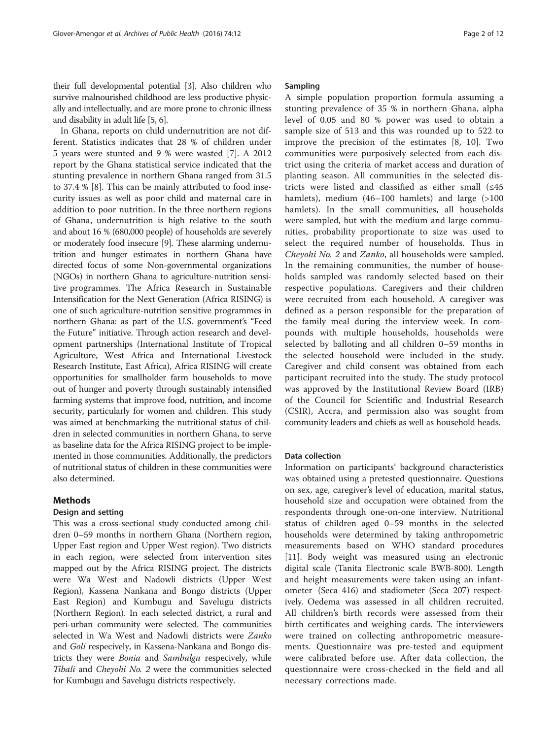their full developmental potential [\[3](#page-10-0)]. Also children who survive malnourished childhood are less productive physically and intellectually, and are more prone to chronic illness and disability in adult life [[5](#page-11-0), [6\]](#page-11-0).

In Ghana, reports on child undernutrition are not different. Statistics indicates that 28 % of children under 5 years were stunted and 9 % were wasted [[7\]](#page-11-0). A 2012 report by the Ghana statistical service indicated that the stunting prevalence in northern Ghana ranged from 31.5 to 37.4 % [[8\]](#page-11-0). This can be mainly attributed to food insecurity issues as well as poor child and maternal care in addition to poor nutrition. In the three northern regions of Ghana, undernutrition is high relative to the south and about 16 % (680,000 people) of households are severely or moderately food insecure [[9](#page-11-0)]. These alarming undernutrition and hunger estimates in northern Ghana have directed focus of some Non-governmental organizations (NGOs) in northern Ghana to agriculture-nutrition sensitive programmes. The Africa Research in Sustainable Intensification for the Next Generation (Africa RISING) is one of such agriculture-nutrition sensitive programmes in northern Ghana: as part of the U.S. government's "Feed the Future" initiative. Through action research and development partnerships (International Institute of Tropical Agriculture, West Africa and International Livestock Research Institute, East Africa), Africa RISING will create opportunities for smallholder farm households to move out of hunger and poverty through sustainably intensified farming systems that improve food, nutrition, and income security, particularly for women and children. This study was aimed at benchmarking the nutritional status of children in selected communities in northern Ghana, to serve as baseline data for the Africa RISING project to be implemented in those communities. Additionally, the predictors of nutritional status of children in these communities were also determined.

# Methods

# Design and setting

This was a cross-sectional study conducted among children 0–59 months in northern Ghana (Northern region, Upper East region and Upper West region). Two districts in each region, were selected from intervention sites mapped out by the Africa RISING project. The districts were Wa West and Nadowli districts (Upper West Region), Kassena Nankana and Bongo districts (Upper East Region) and Kumbugu and Savelugu districts (Northern Region). In each selected district, a rural and peri-urban community were selected. The communities selected in Wa West and Nadowli districts were Zanko and Goli respecively, in Kassena-Nankana and Bongo districts they were *Bonia* and *Sambulgu* respecively, while Tibali and Cheyohi No. 2 were the communities selected for Kumbugu and Savelugu districts respectively.

# Sampling

A simple population proportion formula assuming a stunting prevalence of 35 % in northern Ghana, alpha level of 0.05 and 80 % power was used to obtain a sample size of 513 and this was rounded up to 522 to improve the precision of the estimates [\[8](#page-11-0), [10\]](#page-11-0). Two communities were purposively selected from each district using the criteria of market access and duration of planting season. All communities in the selected districts were listed and classified as either small (≤45 hamlets), medium (46–100 hamlets) and large (>100 hamlets). In the small communities, all households were sampled, but with the medium and large communities, probability proportionate to size was used to select the required number of households. Thus in Cheyohi No. 2 and Zanko, all households were sampled. In the remaining communities, the number of households sampled was randomly selected based on their respective populations. Caregivers and their children were recruited from each household. A caregiver was defined as a person responsible for the preparation of the family meal during the interview week. In compounds with multiple households, households were selected by balloting and all children 0–59 months in the selected household were included in the study. Caregiver and child consent was obtained from each participant recruited into the study. The study protocol was approved by the Institutional Review Board (IRB) of the Council for Scientific and Industrial Research (CSIR), Accra, and permission also was sought from community leaders and chiefs as well as household heads.

#### Data collection

Information on participants' background characteristics was obtained using a pretested questionnaire. Questions on sex, age, caregiver's level of education, marital status, household size and occupation were obtained from the respondents through one-on-one interview. Nutritional status of children aged 0–59 months in the selected households were determined by taking anthropometric measurements based on WHO standard procedures [[11\]](#page-11-0). Body weight was measured using an electronic digital scale (Tanita Electronic scale BWB-800). Length and height measurements were taken using an infantometer (Seca 416) and stadiometer (Seca 207) respectively. Oedema was assessed in all children recruited. All children's birth records were assessed from their birth certificates and weighing cards. The interviewers were trained on collecting anthropometric measurements. Questionnaire was pre-tested and equipment were calibrated before use. After data collection, the questionnaire were cross-checked in the field and all necessary corrections made.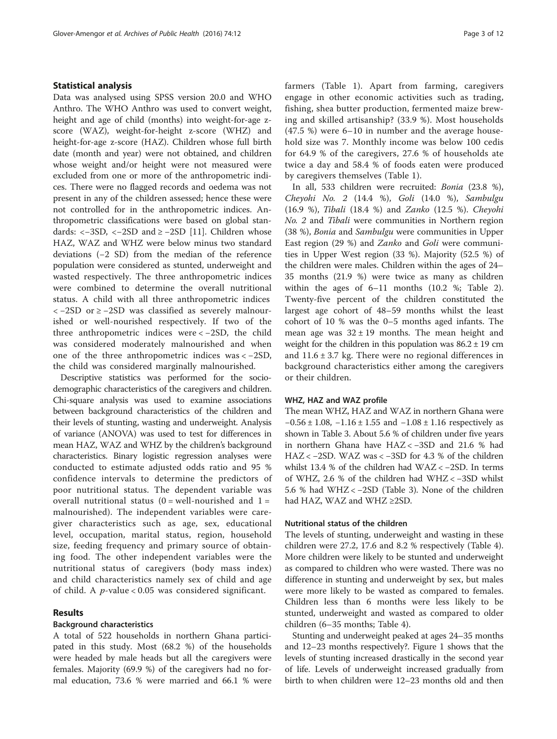# Statistical analysis

Data was analysed using SPSS version 20.0 and WHO Anthro. The WHO Anthro was used to convert weight, height and age of child (months) into weight-for-age zscore (WAZ), weight-for-height z-score (WHZ) and height-for-age z-score (HAZ). Children whose full birth date (month and year) were not obtained, and children whose weight and/or height were not measured were excluded from one or more of the anthropometric indices. There were no flagged records and oedema was not present in any of the children assessed; hence these were not controlled for in the anthropometric indices. Anthropometric classifications were based on global standards:  $<-3SD$ ,  $<-2SD$  and  $\geq -2SD$  [\[11\]](#page-11-0). Children whose HAZ, WAZ and WHZ were below minus two standard deviations (−2 SD) from the median of the reference population were considered as stunted, underweight and wasted respectively. The three anthropometric indices were combined to determine the overall nutritional status. A child with all three anthropometric indices < −2SD or ≥ −2SD was classified as severely malnourished or well-nourished respectively. If two of the three anthropometric indices were < −2SD, the child was considered moderately malnourished and when one of the three anthropometric indices was < −2SD, the child was considered marginally malnourished.

Descriptive statistics was performed for the sociodemographic characteristics of the caregivers and children. Chi-square analysis was used to examine associations between background characteristics of the children and their levels of stunting, wasting and underweight. Analysis of variance (ANOVA) was used to test for differences in mean HAZ, WAZ and WHZ by the children's background characteristics. Binary logistic regression analyses were conducted to estimate adjusted odds ratio and 95 % confidence intervals to determine the predictors of poor nutritional status. The dependent variable was overall nutritional status ( $0 =$  well-nourished and  $1 =$ malnourished). The independent variables were caregiver characteristics such as age, sex, educational level, occupation, marital status, region, household size, feeding frequency and primary source of obtaining food. The other independent variables were the nutritional status of caregivers (body mass index) and child characteristics namely sex of child and age of child. A  $p$ -value < 0.05 was considered significant.

# Results

#### Background characteristics

A total of 522 households in northern Ghana participated in this study. Most (68.2 %) of the households were headed by male heads but all the caregivers were females. Majority (69.9 %) of the caregivers had no formal education, 73.6 % were married and 66.1 % were farmers (Table [1](#page-3-0)). Apart from farming, caregivers engage in other economic activities such as trading, fishing, shea butter production, fermented maize brewing and skilled artisanship? (33.9 %). Most households (47.5 %) were 6–10 in number and the average household size was 7. Monthly income was below 100 cedis for 64.9 % of the caregivers, 27.6 % of households ate twice a day and 58.4 % of foods eaten were produced by caregivers themselves (Table [1\)](#page-3-0).

In all, 533 children were recruited: Bonia (23.8 %), Cheyohi No. 2 (14.4 %), Goli (14.0 %), Sambulgu (16.9 %), Tibali (18.4 %) and Zanko (12.5 %). Cheyohi No. 2 and Tibali were communities in Northern region (38 %), Bonia and Sambulgu were communities in Upper East region (29 %) and Zanko and Goli were communities in Upper West region (33 %). Majority (52.5 %) of the children were males. Children within the ages of 24– 35 months (21.9 %) were twice as many as children within the ages of  $6-11$  months  $(10.2 %; Table 2).$  $(10.2 %; Table 2).$  $(10.2 %; Table 2).$ Twenty-five percent of the children constituted the largest age cohort of 48–59 months whilst the least cohort of 10 % was the 0–5 months aged infants. The mean age was  $32 \pm 19$  months. The mean height and weight for the children in this population was  $86.2 \pm 19$  cm and  $11.6 \pm 3.7$  kg. There were no regional differences in background characteristics either among the caregivers or their children.

#### WHZ, HAZ and WAZ profile

The mean WHZ, HAZ and WAZ in northern Ghana were −0.56 ± 1.08, −1.16 ± 1.55 and −1.08 ± 1.16 respectively as shown in Table [3](#page-5-0). About 5.6 % of children under five years in northern Ghana have HAZ < −3SD and 21.6 % had HAZ < −2SD. WAZ was < −3SD for 4.3 % of the children whilst 13.4 % of the children had WAZ < −2SD. In terms of WHZ, 2.6 % of the children had WHZ < −3SD whilst 5.6 % had WHZ < −2SD (Table [3](#page-5-0)). None of the children had HAZ, WAZ and WHZ ≥2SD.

### Nutritional status of the children

The levels of stunting, underweight and wasting in these children were 27.2, 17.6 and 8.2 % respectively (Table [4](#page-6-0)). More children were likely to be stunted and underweight as compared to children who were wasted. There was no difference in stunting and underweight by sex, but males were more likely to be wasted as compared to females. Children less than 6 months were less likely to be stunted, underweight and wasted as compared to older children (6–35 months; Table [4\)](#page-6-0).

Stunting and underweight peaked at ages 24–35 months and 12–23 months respectively?. Figure [1](#page-6-0) shows that the levels of stunting increased drastically in the second year of life. Levels of underweight increased gradually from birth to when children were 12–23 months old and then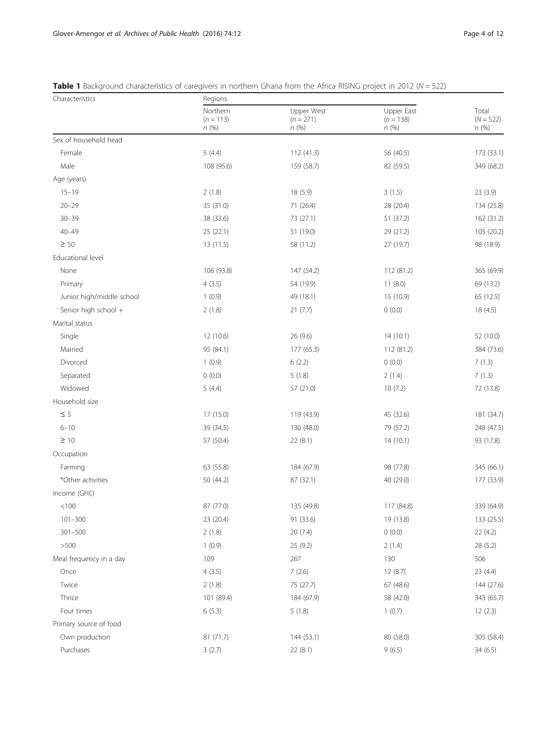| Characteristics           | Regions                         |                                   |                                   |                              |
|---------------------------|---------------------------------|-----------------------------------|-----------------------------------|------------------------------|
|                           | Northern<br>$(n = 113)$<br>n(%) | Upper West<br>$(n = 271)$<br>n(%) | Upper East<br>$(n = 138)$<br>n(%) | Total<br>$(N = 522)$<br>n(%) |
| Sex of household head     |                                 |                                   |                                   |                              |
| Female                    | 5(4.4)                          | 112 (41.3)                        | 56 (40.5)                         | 173 (33.1)                   |
| Male                      | 108 (95.6)                      | 159 (58.7)                        | 82 (59.5)                         | 349 (68.2)                   |
| Age (years)               |                                 |                                   |                                   |                              |
| $15 - 19$                 | 2(1.8)                          | 18 (5.9)                          | 3(1.5)                            | 23 (3.9)                     |
| $20 - 29$                 | 35 (31.0)                       | 71 (26.4)                         | 28 (20.4)                         | 134 (25.8)                   |
| $30 - 39$                 | 38 (33.6)                       | 73 (27.1)                         | 51 (37.2)                         | 162 (31.2)                   |
| $40 - 49$                 | 25 (22.1)                       | 51 (19.0)                         | 29 (21.2)                         | 105 (20.2)                   |
| $\geq 50$                 | 13 (11.5)                       | 58 (11.2)                         | 27 (19.7)                         | 98 (18.9)                    |
| Educational level         |                                 |                                   |                                   |                              |
| None                      | 106 (93.8)                      | 147 (54.2)                        | 112 (81.2)                        | 365 (69.9)                   |
| Primary                   | 4(3.5)                          | 54 (19.9)                         | 11(8.0)                           | 69 (13.2)                    |
| Junior high/middle school | 1(0.9)                          | 49 (18.1)                         | 15 (10.9)                         | 65 (12.5)                    |
| Senior high school +      | 2(1.8)                          | 21(7.7)                           | 0(0.0)                            | 18 (4.5)                     |
| Marital status            |                                 |                                   |                                   |                              |
| Single                    | 12(10.6)                        | 26 (9.6)                          | 14(10.1)                          | 52 (10.0)                    |
| Married                   | 95 (84.1)                       | 177 (65.3)                        | 112 (81.2)                        | 384 (73.6)                   |
| Divorced                  | 1(0.9)                          | 6(2.2)                            | 0(0.0)                            | 7(1.3)                       |
| Separated                 | 0(0.0)                          | 5(1.8)                            | 2(1.4)                            | 7(1.3)                       |
| Widowed                   | 5(4.4)                          | 57 (21.0)                         | 10(7.2)                           | 72 (13.8)                    |
| Household size            |                                 |                                   |                                   |                              |
| $\leq$ 5                  | 17 (15.0)                       | 119 (43.9)                        | 45 (32.6)                         | 181 (34.7)                   |
| $6 - 10$                  | 39 (34.5)                       | 130 (48.0)                        | 79 (57.2)                         | 248 (47.5)                   |
| $\geq 10$                 | 57 (50.4)                       | 22(8.1)                           | 14(10.1)                          | 93 (17.8)                    |
| Occupation                |                                 |                                   |                                   |                              |
| Farming                   | 63 (55.8)                       | 184 (67.9)                        | 98 (77.8)                         | 345 (66.1)                   |
| *Other activities         | 50 (44.2)                       | 87 (32.1)                         | 40 (29.0)                         | 177 (33.9)                   |
| Income (GH¢)              |                                 |                                   |                                   |                              |
| < 100                     | 87 (77.0)                       | 135 (49.8)                        | 117 (84.8)                        | 339 (64.9)                   |
| $101 - 300$               | 23 (20.4)                       | 91 (33.6)                         | 19 (13.8)                         | 133 (25.5)                   |
| $301 - 500$               | 2(1.8)                          | 20 (7.4)                          | 0(0.0)                            | 22 (4.2)                     |
| >500                      | 1(0.9)                          | 25(9.2)                           | 2(1.4)                            | 28 (5.2)                     |
| Meal frequency in a day   | 109                             | 267                               | 130                               | 506                          |
| Once                      | 4(3.5)                          | 7(2.6)                            | 12(8.7)                           | 23 (4.4)                     |
| Twice                     | 2(1.8)                          | 75 (27.7)                         | 67 (48.6)                         | 144 (27.6)                   |
| Thrice                    | 101 (89.4)                      | 184 (67.9)                        | 58 (42.0)                         | 343 (65.7)                   |
| Four times                | 6(5.3)                          | 5(1.8)                            | 1(0.7)                            | 12(2.3)                      |
| Primary source of food    |                                 |                                   |                                   |                              |
| Own production            | 81 (71.7)                       | 144 (53.1)                        | 80 (58.0)                         | 305 (58.4)                   |
| Purchases                 | 3(2.7)                          | 22 (8.1)                          | 9(6.5)                            | 34(6.5)                      |

<span id="page-3-0"></span>

|  |  | <b>Table 1</b> Background characteristics of caregivers in northern Ghana from the Africa RISING project in 2012 ( $N = 522$ ) |
|--|--|--------------------------------------------------------------------------------------------------------------------------------|
|  |  |                                                                                                                                |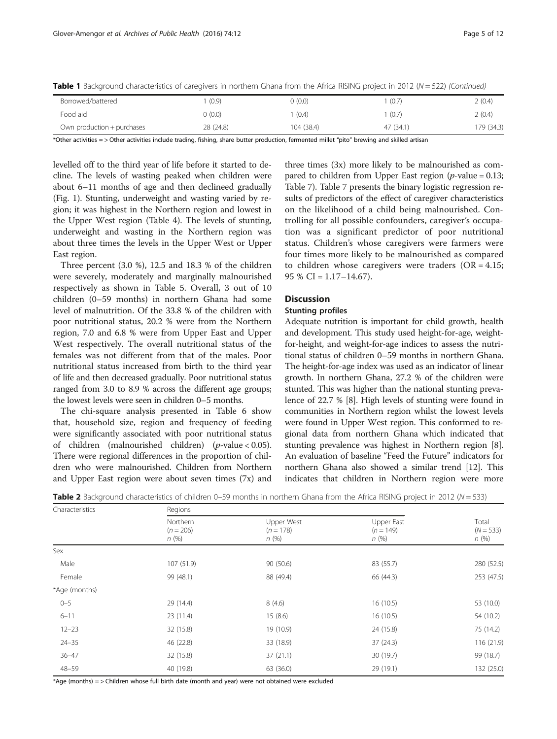| Borrowed/battered          | (0.9)     | (0.0)      | (0.7)    | 2(0.4)     |
|----------------------------|-----------|------------|----------|------------|
| Food aid                   | (0.0)     | (0.4)      | (0.7)    | 2(0.4)     |
| Own production + purchases | 28 (24.8) | 104 (38.4) | 47(34.1) | 179 (34.3) |

<span id="page-4-0"></span>Table 1 Background characteristics of caregivers in northern Ghana from the Africa RISING project in 2012 ( $N = 522$ ) (Continued)

\*Other activities = > Other activities include trading, fishing, share butter production, fermented millet "pito" brewing and skilled artisan

levelled off to the third year of life before it started to decline. The levels of wasting peaked when children were about 6–11 months of age and then declineed gradually (Fig. [1](#page-6-0)). Stunting, underweight and wasting varied by region; it was highest in the Northern region and lowest in the Upper West region (Table [4\)](#page-6-0). The levels of stunting, underweight and wasting in the Northern region was about three times the levels in the Upper West or Upper East region.

Three percent (3.0 %), 12.5 and 18.3 % of the children were severely, moderately and marginally malnourished respectively as shown in Table [5](#page-7-0). Overall, 3 out of 10 children (0–59 months) in northern Ghana had some level of malnutrition. Of the 33.8 % of the children with poor nutritional status, 20.2 % were from the Northern region, 7.0 and 6.8 % were from Upper East and Upper West respectively. The overall nutritional status of the females was not different from that of the males. Poor nutritional status increased from birth to the third year of life and then decreased gradually. Poor nutritional status ranged from 3.0 to 8.9 % across the different age groups; the lowest levels were seen in children 0–5 months.

The chi-square analysis presented in Table [6](#page-8-0) show that, household size, region and frequency of feeding were significantly associated with poor nutritional status of children (malnourished children) (p-value < 0.05). There were regional differences in the proportion of children who were malnourished. Children from Northern and Upper East region were about seven times (7x) and

three times (3x) more likely to be malnourished as compared to children from Upper East region ( $p$ -value = 0.13; Table [7](#page-9-0)). Table [7](#page-9-0) presents the binary logistic regression results of predictors of the effect of caregiver characteristics on the likelihood of a child being malnourished. Controlling for all possible confounders, caregiver's occupation was a significant predictor of poor nutritional status. Children's whose caregivers were farmers were four times more likely to be malnourished as compared to children whose caregivers were traders  $(OR = 4.15;$ 95 % CI =  $1.17 - 14.67$ ).

# Discussion

## Stunting profiles

Adequate nutrition is important for child growth, health and development. This study used height-for-age, weightfor-height, and weight-for-age indices to assess the nutritional status of children 0–59 months in northern Ghana. The height-for-age index was used as an indicator of linear growth. In northern Ghana, 27.2 % of the children were stunted. This was higher than the national stunting prevalence of 22.7 % [[8\]](#page-11-0). High levels of stunting were found in communities in Northern region whilst the lowest levels were found in Upper West region. This conformed to regional data from northern Ghana which indicated that stunting prevalence was highest in Northern region [[8](#page-11-0)]. An evaluation of baseline "Feed the Future" indicators for northern Ghana also showed a similar trend [\[12\]](#page-11-0). This indicates that children in Northern region were more

| Characteristics | Regions                         |                                   |                                   |                              |  |
|-----------------|---------------------------------|-----------------------------------|-----------------------------------|------------------------------|--|
|                 | Northern<br>$(n = 206)$<br>n(%) | Upper West<br>$(n = 178)$<br>n(%) | Upper East<br>$(n = 149)$<br>n(%) | Total<br>$(N = 533)$<br>n(%) |  |
| Sex             |                                 |                                   |                                   |                              |  |
| Male            | 107 (51.9)                      | 90 (50.6)                         | 83 (55.7)                         | 280 (52.5)                   |  |
| Female          | 99 (48.1)                       | 88 (49.4)                         | 66 (44.3)                         | 253 (47.5)                   |  |
| *Age (months)   |                                 |                                   |                                   |                              |  |
| $0 - 5$         | 29 (14.4)                       | 8(4.6)                            | 16(10.5)                          | 53 (10.0)                    |  |
| $6 - 11$        | 23(11.4)                        | 15(8.6)                           | 16(10.5)                          | 54 (10.2)                    |  |
| $12 - 23$       | 32 (15.8)                       | 19 (10.9)                         | 24 (15.8)                         | 75 (14.2)                    |  |
| $24 - 35$       | 46 (22.8)                       | 33 (18.9)                         | 37(24.3)                          | 116 (21.9)                   |  |
| $36 - 47$       | 32 (15.8)                       | 37(21.1)                          | 30 (19.7)                         | 99 (18.7)                    |  |
| $48 - 59$       | 40 (19.8)                       | 63 (36.0)                         | 29 (19.1)                         | 132 (25.0)                   |  |

**Table 2** Background characteristics of children 0–59 months in northern Ghana from the Africa RISING project in 2012 ( $N = 533$ )

\*Age (months) = > Children whose full birth date (month and year) were not obtained were excluded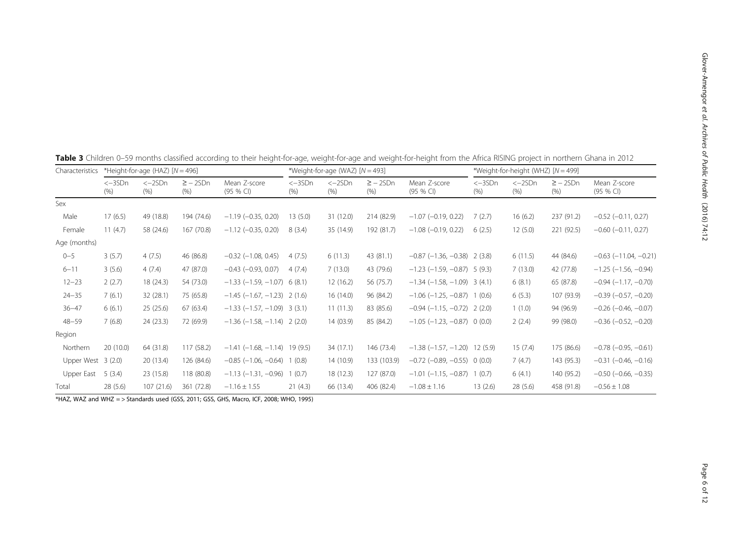| Characteristics     | *Height-for-age (HAZ) $[N = 496]$ |                  |                     | *Weight-for-age (WAZ) [N = 493]       |                  |                  | *Weight-for-height (WHZ) [N = 499] |                                        |                  |                  |                       |                                |
|---------------------|-----------------------------------|------------------|---------------------|---------------------------------------|------------------|------------------|------------------------------------|----------------------------------------|------------------|------------------|-----------------------|--------------------------------|
|                     | $<-3SDn$<br>(% )                  | $<-2SDn$<br>(% ) | $\ge -25Dn$<br>(% ) | Mean 7-score<br>(95 % CI)             | $<-3SDn$<br>(% ) | $<-2SDn$<br>(% ) | $\geq -25$ Dn<br>(% )              | Mean 7-score<br>(95 % CI)              | $<-3SDn$<br>(% ) | $<-2SDn$<br>(% ) | $\geq -25$ Dn<br>(% ) | Mean Z-score<br>(95 % CI)      |
| Sex                 |                                   |                  |                     |                                       |                  |                  |                                    |                                        |                  |                  |                       |                                |
| Male                | 17(6.5)                           | 49 (18.8)        | 194 (74.6)          | $-1.19$ ( $-0.35$ , 0.20)             | 13(5.0)          | 31 (12.0)        | 214 (82.9)                         | $-1.07$ $(-0.19, 0.22)$                | 7(2.7)           | 16(6.2)          | 237 (91.2)            | $-0.52$ $(-0.11, 0.27)$        |
| Female              | 11(4.7)                           | 58 (24.6)        | 167 (70.8)          | $-1.12$ ( $-0.35$ , 0.20)             | 8(3.4)           | 35 (14.9)        | 192 (81.7)                         | $-1.08$ ( $-0.19$ , 0.22)              | 6(2.5)           | 12(5.0)          | 221(92.5)             | $-0.60$ $(-0.11, 0.27)$        |
| Age (months)        |                                   |                  |                     |                                       |                  |                  |                                    |                                        |                  |                  |                       |                                |
| $0 - 5$             | 3(5.7)                            | 4(7.5)           | 46 (86.8)           | $-0.32$ $(-1.08, 0.45)$               | 4(7.5)           | 6(11.3)          | 43 (81.1)                          | $-0.87$ ( $-1.36$ , $-0.38$ )          | 2(3.8)           | 6(11.5)          | 44 (84.6)             | $-0.63$ ( $-11.04$ , $-0.21$ ) |
| $6 - 11$            | 3(5.6)                            | 4(7.4)           | 47 (87.0)           | $-0.43$ $(-0.93, 0.07)$               | 4(7.4)           | 7(13.0)          | 43 (79.6)                          | $-1.23$ ( $-1.59$ , $-0.87$ ) 5 (9.3)  |                  | 7(13.0)          | 42 (77.8)             | $-1.25$ ( $-1.56$ , $-0.94$ )  |
| $12 - 23$           | 2(2.7)                            | 18 (24.3)        | 54 (73.0)           | $-1.33$ ( $-1.59$ , $-1.07$ )         | 6(8.1)           | 12(16.2)         | 56 (75.7)                          | $-1.34$ ( $-1.58$ , $-1.09$ ) 3 (4.1)  |                  | 6(8.1)           | 65 (87.8)             | $-0.94$ ( $-1.17, -0.70$ )     |
| $24 - 35$           | 7(6.1)                            | 32 (28.1)        | 75 (65.8)           | $-1.45$ ( $-1.67$ , $-1.23$ )         | 2(1.6)           | 16(14.0)         | 96 (84.2)                          | $-1.06$ ( $-1.25$ , $-0.87$ ) 1 (0.6)  |                  | 6(5.3)           | 107 (93.9)            | $-0.39$ $(-0.57, -0.20)$       |
| $36 - 47$           | 6(6.1)                            | 25 (25.6)        | 67 (63.4)           | $-1.33$ $(-1.57, -1.09)$ 3 (3.1)      |                  | 11(11.3)         | 83 (85.6)                          | $-0.94$ ( $-1.15$ , $-0.72$ ) 2 (2.0)  |                  | 1(1.0)           | 94 (96.9)             | $-0.26$ ( $-0.46$ , $-0.07$ )  |
| $48 - 59$           | 7(6.8)                            | 24(23.3)         | 72 (69.9)           | $-1.36$ ( $-1.58$ , $-1.14$ ) 2 (2.0) |                  | 14(03.9)         | 85 (84.2)                          | $-1.05$ ( $-1.23$ , $-0.87$ ) 0 (0.0)  |                  | 2(2.4)           | 99 (98.0)             | $-0.36$ $(-0.52, -0.20)$       |
| Region              |                                   |                  |                     |                                       |                  |                  |                                    |                                        |                  |                  |                       |                                |
| Northern            | 20(10.0)                          | 64 (31.8)        | 117(58.2)           | $-1.41$ ( $-1.68$ , $-1.14$ )         | 19 (9.5)         | 34(17.1)         | 146 (73.4)                         | $-1.38$ ( $-1.57$ , $-1.20$ ) 12 (5.9) |                  | 15(7.4)          | 175 (86.6)            | $-0.78$ ( $-0.95$ , $-0.61$ )  |
| Upper West $3(2.0)$ |                                   | 20 (13.4)        | 126 (84.6)          | $-0.85$ ( $-1.06$ , $-0.64$ )         | (0.8)            | 14(10.9)         | 133 (103.9)                        | $-0.72$ ( $-0.89$ , $-0.55$ )          | 0(0.0)           | 7(4.7)           | 143 (95.3)            | $-0.31$ $(-0.46, -0.16)$       |
| Upper East          | 5(3.4)                            | 23 (15.8)        | 118 (80.8)          | $-1.13$ ( $-1.31$ , $-0.96$ )         | 1(0.7)           | 18 (12.3)        | 127 (87.0)                         | $-1.01$ ( $-1.15$ , $-0.87$ ) 1 (0.7)  |                  | 6(4.1)           | 140 (95.2)            | $-0.50$ ( $-0.66$ , $-0.35$ )  |
| Total               | 28(5.6)                           | 107(21.6)        | 361 (72.8)          | $-1.16 \pm 1.55$                      | 21(4.3)          | 66 (13.4)        | 406 (82.4)                         | $-1.08 \pm 1.16$                       | 13(2.6)          | 28(5.6)          | 458 (91.8)            | $-0.56 \pm 1.08$               |

<span id="page-5-0"></span>

| <b>Table 3</b> Children 0–59 months classified according to their height-for-age, weight-for-age and weight-for-height from the Africa RISING project in northern Ghana in 2012 |  |  |  |  |  |
|---------------------------------------------------------------------------------------------------------------------------------------------------------------------------------|--|--|--|--|--|
|---------------------------------------------------------------------------------------------------------------------------------------------------------------------------------|--|--|--|--|--|

 $*$ HAZ, WAZ and WHZ = > Standards used (GSS, 2011; GSS, GHS, Macro, ICF, 2008; WHO, 1995)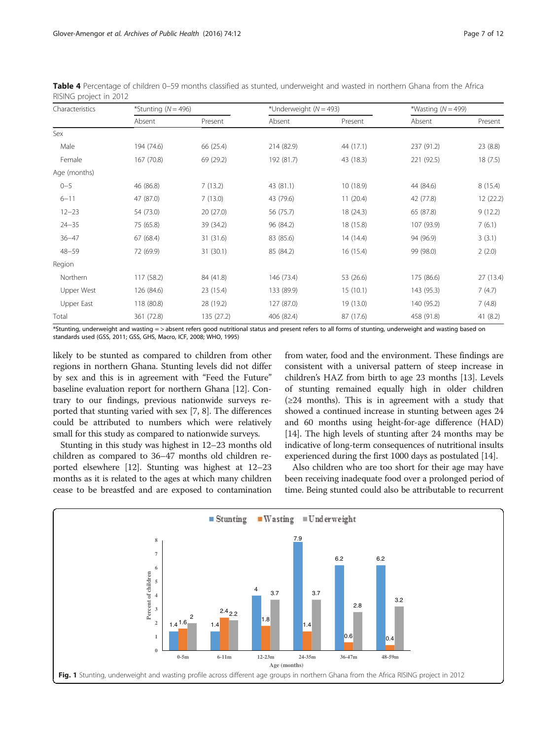| Characteristics |            | *Stunting ( $N = 496$ ) |            | *Underweight ( $N = 493$ ) |            | *Wasting ( $N = 499$ ) |  |
|-----------------|------------|-------------------------|------------|----------------------------|------------|------------------------|--|
|                 | Absent     | Present                 | Absent     | Present                    | Absent     | Present                |  |
| Sex             |            |                         |            |                            |            |                        |  |
| Male            | 194 (74.6) | 66 (25.4)               | 214 (82.9) | 44 (17.1)                  | 237 (91.2) | 23 (8.8)               |  |
| Female          | 167 (70.8) | 69 (29.2)               | 192 (81.7) | 43 (18.3)                  | 221 (92.5) | 18(7.5)                |  |
| Age (months)    |            |                         |            |                            |            |                        |  |
| $0 - 5$         | 46 (86.8)  | 7(13.2)                 | 43 (81.1)  | 10 (18.9)                  | 44 (84.6)  | 8(15.4)                |  |
| $6 - 11$        | 47 (87.0)  | 7(13.0)                 | 43 (79.6)  | 11(20.4)                   | 42 (77.8)  | 12 (22.2)              |  |
| $12 - 23$       | 54 (73.0)  | 20 (27.0)               | 56 (75.7)  | 18 (24.3)                  | 65 (87.8)  | 9(12.2)                |  |
| $24 - 35$       | 75 (65.8)  | 39 (34.2)               | 96 (84.2)  | 18 (15.8)                  | 107 (93.9) | 7(6.1)                 |  |
| $36 - 47$       | 67 (68.4)  | 31 (31.6)               | 83 (85.6)  | 14 (14.4)                  | 94 (96.9)  | 3(3.1)                 |  |
| $48 - 59$       | 72 (69.9)  | 31(30.1)                | 85 (84.2)  | 16(15.4)                   | 99 (98.0)  | 2(2.0)                 |  |
| Region          |            |                         |            |                            |            |                        |  |
| Northern        | 117 (58.2) | 84 (41.8)               | 146 (73.4) | 53 (26.6)                  | 175 (86.6) | 27 (13.4)              |  |
| Upper West      | 126 (84.6) | 23 (15.4)               | 133 (89.9) | 15(10.1)                   | 143 (95.3) | 7(4.7)                 |  |
| Upper East      | 118 (80.8) | 28 (19.2)               | 127 (87.0) | 19 (13.0)                  | 140 (95.2) | 7(4.8)                 |  |
| Total           | 361 (72.8) | 135 (27.2)              | 406 (82.4) | 87 (17.6)                  | 458 (91.8) | 41(8.2)                |  |

<span id="page-6-0"></span>Table 4 Percentage of children 0–59 months classified as stunted, underweight and wasted in northern Ghana from the Africa RISING project in 2012

\*Stunting, underweight and wasting = > absent refers good nutritional status and present refers to all forms of stunting, underweight and wasting based on standards used (GSS, 2011; GSS, GHS, Macro, ICF, 2008; WHO, 1995)

likely to be stunted as compared to children from other regions in northern Ghana. Stunting levels did not differ by sex and this is in agreement with "Feed the Future" baseline evaluation report for northern Ghana [[12](#page-11-0)]. Contrary to our findings, previous nationwide surveys reported that stunting varied with sex [\[7](#page-11-0), [8\]](#page-11-0). The differences could be attributed to numbers which were relatively small for this study as compared to nationwide surveys.

Stunting in this study was highest in 12–23 months old children as compared to 36–47 months old children reported elsewhere [[12](#page-11-0)]. Stunting was highest at 12–23 months as it is related to the ages at which many children cease to be breastfed and are exposed to contamination from water, food and the environment. These findings are consistent with a universal pattern of steep increase in children's HAZ from birth to age 23 months [\[13](#page-11-0)]. Levels of stunting remained equally high in older children  $(\geq 24$  months). This is in agreement with a study that showed a continued increase in stunting between ages 24 and 60 months using height-for-age difference (HAD) [[14](#page-11-0)]. The high levels of stunting after 24 months may be indicative of long-term consequences of nutritional insults experienced during the first 1000 days as postulated [[14](#page-11-0)].

Also children who are too short for their age may have been receiving inadequate food over a prolonged period of time. Being stunted could also be attributable to recurrent

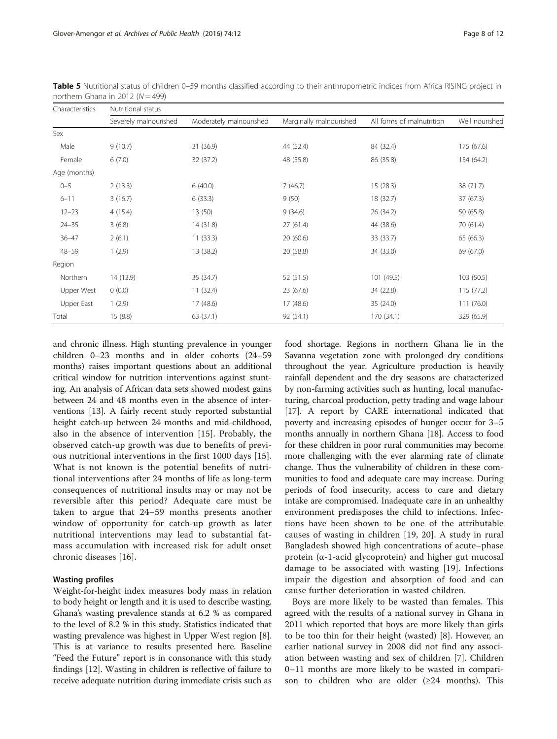| Characteristics | Nutritional status    |                         |                         |                           |                |  |  |
|-----------------|-----------------------|-------------------------|-------------------------|---------------------------|----------------|--|--|
|                 | Severely malnourished | Moderately malnourished | Marginally malnourished | All forms of malnutrition | Well nourished |  |  |
| Sex             |                       |                         |                         |                           |                |  |  |
| Male            | 9(10.7)               | 31 (36.9)               | 44 (52.4)               | 84 (32.4)                 | 175 (67.6)     |  |  |
| Female          | 6(7.0)                | 32 (37.2)               | 48 (55.8)               | 86 (35.8)                 | 154 (64.2)     |  |  |
| Age (months)    |                       |                         |                         |                           |                |  |  |
| $0 - 5$         | 2(13.3)               | 6(40.0)                 | 7(46.7)                 | 15 (28.3)                 | 38 (71.7)      |  |  |
| $6 - 11$        | 3(16.7)               | 6(33.3)                 | 9(50)                   | 18 (32.7)                 | 37 (67.3)      |  |  |
| $12 - 23$       | 4(15.4)               | 13(50)                  | 9(34.6)                 | 26 (34.2)                 | 50 (65.8)      |  |  |
| $24 - 35$       | 3(6.8)                | 14 (31.8)               | 27(61.4)                | 44 (38.6)                 | 70 (61.4)      |  |  |
| $36 - 47$       | 2(6.1)                | 11(33.3)                | 20(60.6)                | 33 (33.7)                 | 65 (66.3)      |  |  |
| $48 - 59$       | 1(2.9)                | 13 (38.2)               | 20 (58.8)               | 34 (33.0)                 | 69 (67.0)      |  |  |
| Region          |                       |                         |                         |                           |                |  |  |
| Northern        | 14 (13.9)             | 35 (34.7)               | 52 (51.5)               | 101 (49.5)                | 103(50.5)      |  |  |
| Upper West      | 0(0.0)                | 11(32.4)                | 23 (67.6)               | 34 (22.8)                 | 115(77.2)      |  |  |
| Upper East      | 1(2.9)                | 17(48.6)                | 17 (48.6)               | 35 (24.0)                 | 111 (76.0)     |  |  |
| Total           | 15(8.8)               | 63 (37.1)               | 92 (54.1)               | 170 (34.1)                | 329 (65.9)     |  |  |

<span id="page-7-0"></span>Table 5 Nutritional status of children 0–59 months classified according to their anthropometric indices from Africa RISING project in northern Ghana in 2012 ( $N = 499$ )

and chronic illness. High stunting prevalence in younger children 0–23 months and in older cohorts (24–59 months) raises important questions about an additional critical window for nutrition interventions against stunting. An analysis of African data sets showed modest gains between 24 and 48 months even in the absence of interventions [\[13\]](#page-11-0). A fairly recent study reported substantial height catch-up between 24 months and mid-childhood, also in the absence of intervention [[15\]](#page-11-0). Probably, the observed catch-up growth was due to benefits of previous nutritional interventions in the first 1000 days [\[15](#page-11-0)]. What is not known is the potential benefits of nutritional interventions after 24 months of life as long-term consequences of nutritional insults may or may not be reversible after this period? Adequate care must be taken to argue that 24–59 months presents another window of opportunity for catch-up growth as later nutritional interventions may lead to substantial fatmass accumulation with increased risk for adult onset chronic diseases [[16](#page-11-0)].

# Wasting profiles

Weight-for-height index measures body mass in relation to body height or length and it is used to describe wasting. Ghana's wasting prevalence stands at 6.2 % as compared to the level of 8.2 % in this study. Statistics indicated that wasting prevalence was highest in Upper West region [[8](#page-11-0)]. This is at variance to results presented here. Baseline "Feed the Future" report is in consonance with this study findings [[12](#page-11-0)]. Wasting in children is reflective of failure to receive adequate nutrition during immediate crisis such as

food shortage. Regions in northern Ghana lie in the Savanna vegetation zone with prolonged dry conditions throughout the year. Agriculture production is heavily rainfall dependent and the dry seasons are characterized by non-farming activities such as hunting, local manufacturing, charcoal production, petty trading and wage labour [[17](#page-11-0)]. A report by CARE international indicated that poverty and increasing episodes of hunger occur for 3–5 months annually in northern Ghana [[18](#page-11-0)]. Access to food for these children in poor rural communities may become more challenging with the ever alarming rate of climate change. Thus the vulnerability of children in these communities to food and adequate care may increase. During periods of food insecurity, access to care and dietary intake are compromised. Inadequate care in an unhealthy environment predisposes the child to infections. Infections have been shown to be one of the attributable causes of wasting in children [[19, 20\]](#page-11-0). A study in rural Bangladesh showed high concentrations of acute–phase protein (α-1-acid glycoprotein) and higher gut mucosal damage to be associated with wasting [\[19](#page-11-0)]. Infections impair the digestion and absorption of food and can cause further deterioration in wasted children.

Boys are more likely to be wasted than females. This agreed with the results of a national survey in Ghana in 2011 which reported that boys are more likely than girls to be too thin for their height (wasted) [[8](#page-11-0)]. However, an earlier national survey in 2008 did not find any association between wasting and sex of children [[7\]](#page-11-0). Children 0–11 months are more likely to be wasted in comparison to children who are older  $(\geq 24$  months). This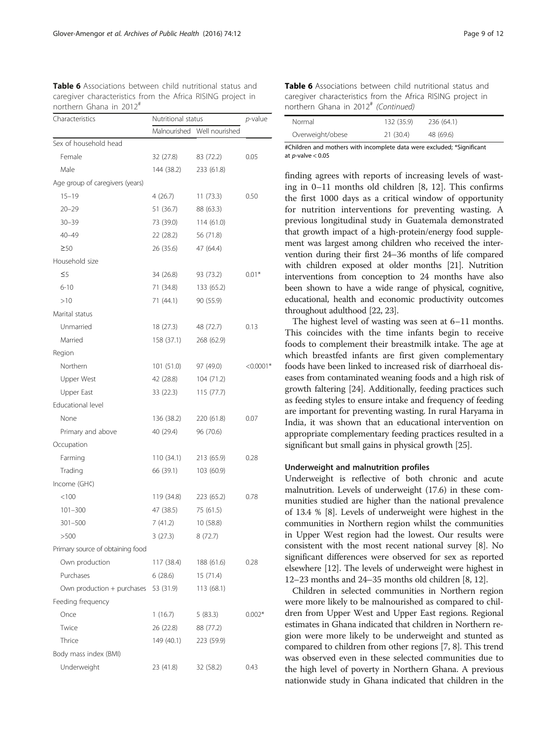<span id="page-8-0"></span>

| Table 6 Associations between child nutritional status and   |  |
|-------------------------------------------------------------|--|
| caregiver characteristics from the Africa RISING project in |  |
| northern Ghana in 2012#                                     |  |

| Characteristics                  | Nutritional status | p-value                     |             |  |
|----------------------------------|--------------------|-----------------------------|-------------|--|
|                                  |                    | Malnourished Well nourished |             |  |
| Sex of household head            |                    |                             |             |  |
| Female                           | 32 (27.8)          | 83 (72.2)                   | 0.05        |  |
| Male                             | 144 (38.2)         | 233 (61.8)                  |             |  |
| Age group of caregivers (years)  |                    |                             |             |  |
| $15 - 19$                        | 4 (26.7)           | 11(73.3)                    | 0.50        |  |
| $20 - 29$                        | 51 (36.7)          | 88 (63.3)                   |             |  |
| $30 - 39$                        | 73 (39.0)          | 114 (61.0)                  |             |  |
| $40 - 49$                        | 22(28.2)           | 56 (71.8)                   |             |  |
| $\geq 50$                        | 26 (35.6)          | 47 (64.4)                   |             |  |
| Household size                   |                    |                             |             |  |
| $\leq$ 5                         | 34 (26.8)          | 93 (73.2)                   | $0.01*$     |  |
| $6 - 10$                         | 71 (34.8)          | 133 (65.2)                  |             |  |
| >10                              | 71 (44.1)          | 90 (55.9)                   |             |  |
| Marital status                   |                    |                             |             |  |
| Unmarried                        | 18 (27.3)          | 48 (72.7)                   | 0.13        |  |
| Married                          | 158 (37.1)         | 268 (62.9)                  |             |  |
| Region                           |                    |                             |             |  |
| Northern                         | 101 (51.0)         | 97 (49.0)                   | $< 0.0001*$ |  |
| Upper West                       | 42 (28.8)          | 104 (71.2)                  |             |  |
| Upper East                       | 33 (22.3)          | 115 (77.7)                  |             |  |
| Educational level                |                    |                             |             |  |
| None                             | 136 (38.2)         | 220 (61.8)                  | 0.07        |  |
| Primary and above                | 40 (29.4)          | 96 (70.6)                   |             |  |
| Occupation                       |                    |                             |             |  |
| Farming                          | 110 (34.1)         | 213 (65.9)                  | 0.28        |  |
| Trading                          | 66 (39.1)          | 103 (60.9)                  |             |  |
| Income (GH¢)                     |                    |                             |             |  |
| < 100                            | 119 (34.8)         | 223 (65.2)                  | 0.78        |  |
| $101 - 300$                      | 47 (38.5)          | 75 (61.5)                   |             |  |
| $301 - 500$                      | 7 (41.2)           | 10 (58.8)                   |             |  |
| >500                             | 3(27.3)            | 8(72.7)                     |             |  |
| Primary source of obtaining food |                    |                             |             |  |
| Own production                   | 117 (38.4)         | 188 (61.6)                  | 0.28        |  |
| Purchases                        | 6(28.6)            | 15(71.4)                    |             |  |
| Own production + purchases       | 53 (31.9)          | 113 (68.1)                  |             |  |
| Feeding frequency                |                    |                             |             |  |
| Once                             | 1(16.7)            | 5 (83.3)                    | $0.002*$    |  |
| Twice                            | 26 (22.8)          | 88 (77.2)                   |             |  |
| Thrice                           | 149 (40.1)         | 223 (59.9)                  |             |  |
| Body mass index (BMI)            |                    |                             |             |  |
| Underweight                      | 23 (41.8)          | 32 (58.2)                   | 0.43        |  |

| <b>Table 6</b> Associations between child nutritional status and |
|------------------------------------------------------------------|
| caregiver characteristics from the Africa RISING project in      |
| northern Ghana in 2012# (Continued)                              |

| Normal           | 132 (35.9) | 236 (64.1) |  |
|------------------|------------|------------|--|
| Overweight/obese | 21 (30.4)  | 48 (69.6)  |  |

#Children and mothers with incomplete data were excluded; \*Significant at *p*-valve  $< 0.05$ 

finding agrees with reports of increasing levels of wasting in 0–11 months old children [\[8](#page-11-0), [12](#page-11-0)]. This confirms the first 1000 days as a critical window of opportunity for nutrition interventions for preventing wasting. A previous longitudinal study in Guatemala demonstrated that growth impact of a high-protein/energy food supplement was largest among children who received the intervention during their first 24–36 months of life compared with children exposed at older months [\[21\]](#page-11-0). Nutrition interventions from conception to 24 months have also been shown to have a wide range of physical, cognitive, educational, health and economic productivity outcomes throughout adulthood [[22](#page-11-0), [23](#page-11-0)].

The highest level of wasting was seen at 6–11 months. This coincides with the time infants begin to receive foods to complement their breastmilk intake. The age at which breastfed infants are first given complementary foods have been linked to increased risk of diarrhoeal diseases from contaminated weaning foods and a high risk of growth faltering [\[24\]](#page-11-0). Additionally, feeding practices such as feeding styles to ensure intake and frequency of feeding are important for preventing wasting. In rural Haryama in India, it was shown that an educational intervention on appropriate complementary feeding practices resulted in a significant but small gains in physical growth [[25\]](#page-11-0).

#### Underweight and malnutrition profiles

Underweight is reflective of both chronic and acute malnutrition. Levels of underweight (17.6) in these communities studied are higher than the national prevalence of 13.4 % [[8](#page-11-0)]. Levels of underweight were highest in the communities in Northern region whilst the communities in Upper West region had the lowest. Our results were consistent with the most recent national survey [[8\]](#page-11-0). No significant differences were observed for sex as reported elsewhere [\[12\]](#page-11-0). The levels of underweight were highest in 12–23 months and 24–35 months old children [[8](#page-11-0), [12\]](#page-11-0).

Children in selected communities in Northern region were more likely to be malnourished as compared to children from Upper West and Upper East regions. Regional estimates in Ghana indicated that children in Northern region were more likely to be underweight and stunted as compared to children from other regions [\[7](#page-11-0), [8\]](#page-11-0). This trend was observed even in these selected communities due to the high level of poverty in Northern Ghana. A previous nationwide study in Ghana indicated that children in the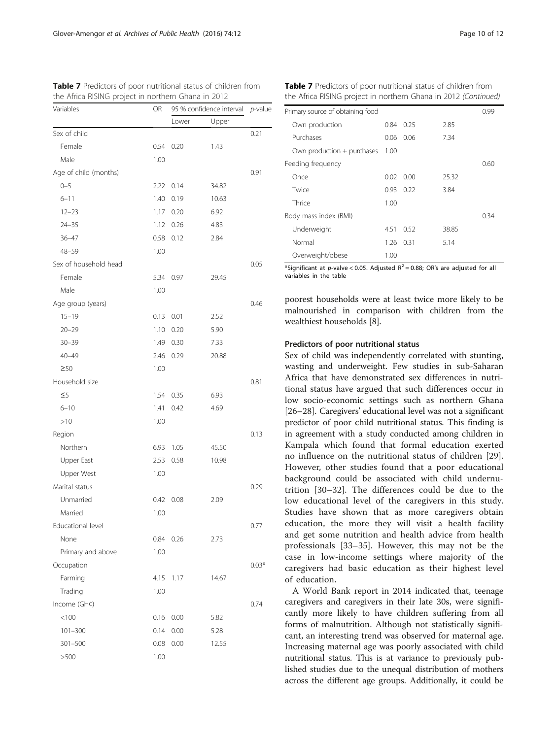| Variables             | OR   | 95 % confidence interval |       | $p$ -value |
|-----------------------|------|--------------------------|-------|------------|
|                       |      | Lower                    | Upper |            |
| Sex of child          |      |                          |       | 0.21       |
| Female                | 0.54 | 0.20                     | 1.43  |            |
| Male                  | 1.00 |                          |       |            |
| Age of child (months) |      |                          |       | 0.91       |
| $0 - 5$               | 2.22 | 0.14                     | 34.82 |            |
| $6 - 11$              | 1.40 | 0.19                     | 10.63 |            |
| $12 - 23$             | 1.17 | 0.20                     | 6.92  |            |
| $24 - 35$             | 1.12 | 0.26                     | 4.83  |            |
| $36 - 47$             | 0.58 | 0.12                     | 2.84  |            |
| $48 - 59$             | 1.00 |                          |       |            |
| Sex of household head |      |                          |       | 0.05       |
| Female                | 5.34 | 0.97                     | 29.45 |            |
| Male                  | 1.00 |                          |       |            |
| Age group (years)     |      |                          |       | 0.46       |
| $15 - 19$             | 0.13 | 0.01                     | 2.52  |            |
| $20 - 29$             | 1.10 | 0.20                     | 5.90  |            |
| $30 - 39$             | 1.49 | 0.30                     | 7.33  |            |
| $40 - 49$             | 2.46 | 0.29                     | 20.88 |            |
| $\geq 50$             | 1.00 |                          |       |            |
| Household size        |      |                          |       | 0.81       |
| $\leq 5$              | 1.54 | 0.35                     | 6.93  |            |
| $6 - 10$              | 1.41 | 0.42                     | 4.69  |            |
| >10                   | 1.00 |                          |       |            |
| Region                |      |                          |       | 0.13       |
| Northern              | 6.93 | 1.05                     | 45.50 |            |
| Upper East            | 2.53 | 0.58                     | 10.98 |            |
| Upper West            | 1.00 |                          |       |            |
| Marital status        |      |                          |       | 0.29       |
| Unmarried             | 0.42 | 0.08                     | 2.09  |            |
| Married               | 1.00 |                          |       |            |
| Educational level     |      |                          |       | 0.77       |
| None                  | 0.84 | 0.26                     | 2.73  |            |
| Primary and above     | 1.00 |                          |       |            |
| Occupation            |      |                          |       | $0.03*$    |
| Farming               | 4.15 | 1.17                     | 14.67 |            |
| Trading               | 1.00 |                          |       |            |
| Income (GH¢)          |      |                          |       | 0.74       |
| < 100                 | 0.16 | 0.00                     | 5.82  |            |
| $101 - 300$           | 0.14 | 0.00                     | 5.28  |            |
| $301 - 500$           | 0.08 | 0.00                     | 12.55 |            |
| >500                  | 1.00 |                          |       |            |

<span id="page-9-0"></span>

| <b>Table 7</b> Predictors of poor nutritional status of children from |
|-----------------------------------------------------------------------|
| the Africa RISING project in northern Ghana in 2012                   |

Table 7 Predictors of poor nutritional status of children from the Africa RISING project in northern Ghana in 2012 (Continued)

| Primary source of obtaining food |      |      |       | 0.99 |
|----------------------------------|------|------|-------|------|
| Own production                   | 0.84 | 0.25 | 2.85  |      |
| Purchases                        | 0.06 | 0.06 | 7.34  |      |
| Own production + purchases       | 1.00 |      |       |      |
| Feeding frequency                |      |      |       | 0.60 |
| Once                             | 0.02 | 0.00 | 25.32 |      |
| Twice                            | 0.93 | 0.22 | 3.84  |      |
| Thrice                           | 1.00 |      |       |      |
| Body mass index (BMI)            |      |      |       | 0.34 |
| Underweight                      | 4.51 | 0.52 | 38.85 |      |
| Normal                           | 1.26 | 0.31 | 5.14  |      |
| Overweight/obese                 | 1.00 |      |       |      |

\*Significant at p-valve < 0.05. Adjusted  $R^2 = 0.88$ ; OR's are adjusted for all variables in the table

poorest households were at least twice more likely to be malnourished in comparison with children from the wealthiest households [[8\]](#page-11-0).

## Predictors of poor nutritional status

Sex of child was independently correlated with stunting, wasting and underweight. Few studies in sub-Saharan Africa that have demonstrated sex differences in nutritional status have argued that such differences occur in low socio-economic settings such as northern Ghana [[26](#page-11-0)–[28](#page-11-0)]. Caregivers' educational level was not a significant predictor of poor child nutritional status. This finding is in agreement with a study conducted among children in Kampala which found that formal education exerted no influence on the nutritional status of children [\[29](#page-11-0)]. However, other studies found that a poor educational background could be associated with child undernutrition [[30](#page-11-0)–[32\]](#page-11-0). The differences could be due to the low educational level of the caregivers in this study. Studies have shown that as more caregivers obtain education, the more they will visit a health facility and get some nutrition and health advice from health professionals [\[33](#page-11-0)–[35](#page-11-0)]. However, this may not be the case in low-income settings where majority of the caregivers had basic education as their highest level of education.

A World Bank report in 2014 indicated that, teenage caregivers and caregivers in their late 30s, were significantly more likely to have children suffering from all forms of malnutrition. Although not statistically significant, an interesting trend was observed for maternal age. Increasing maternal age was poorly associated with child nutritional status. This is at variance to previously published studies due to the unequal distribution of mothers across the different age groups. Additionally, it could be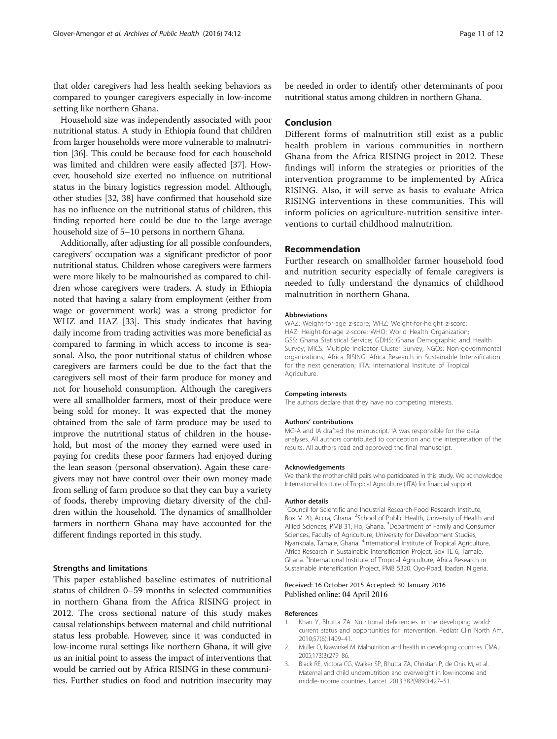<span id="page-10-0"></span>that older caregivers had less health seeking behaviors as compared to younger caregivers especially in low-income setting like northern Ghana.

Household size was independently associated with poor nutritional status. A study in Ethiopia found that children from larger households were more vulnerable to malnutrition [\[36\]](#page-11-0). This could be because food for each household was limited and children were easily affected [\[37\]](#page-11-0). However, household size exerted no influence on nutritional status in the binary logistics regression model. Although, other studies [\[32, 38\]](#page-11-0) have confirmed that household size has no influence on the nutritional status of children, this finding reported here could be due to the large average household size of 5–10 persons in northern Ghana.

Additionally, after adjusting for all possible confounders, caregivers' occupation was a significant predictor of poor nutritional status. Children whose caregivers were farmers were more likely to be malnourished as compared to children whose caregivers were traders. A study in Ethiopia noted that having a salary from employment (either from wage or government work) was a strong predictor for WHZ and HAZ [\[33\]](#page-11-0). This study indicates that having daily income from trading activities was more beneficial as compared to farming in which access to income is seasonal. Also, the poor nutritional status of children whose caregivers are farmers could be due to the fact that the caregivers sell most of their farm produce for money and not for household consumption. Although the caregivers were all smallholder farmers, most of their produce were being sold for money. It was expected that the money obtained from the sale of farm produce may be used to improve the nutritional status of children in the household, but most of the money they earned were used in paying for credits these poor farmers had enjoyed during the lean season (personal observation). Again these caregivers may not have control over their own money made from selling of farm produce so that they can buy a variety of foods, thereby improving dietary diversity of the children within the household. The dynamics of smallholder farmers in northern Ghana may have accounted for the different findings reported in this study.

#### Strengths and limitations

This paper established baseline estimates of nutritional status of children 0–59 months in selected communities in northern Ghana from the Africa RISING project in 2012. The cross sectional nature of this study makes causal relationships between maternal and child nutritional status less probable. However, since it was conducted in low-income rural settings like northern Ghana, it will give us an initial point to assess the impact of interventions that would be carried out by Africa RISING in these communities. Further studies on food and nutrition insecurity may

be needed in order to identify other determinants of poor nutritional status among children in northern Ghana.

# Conclusion

Different forms of malnutrition still exist as a public health problem in various communities in northern Ghana from the Africa RISING project in 2012. These findings will inform the strategies or priorities of the intervention programme to be implemented by Africa RISING. Also, it will serve as basis to evaluate Africa RISING interventions in these communities. This will inform policies on agriculture-nutrition sensitive interventions to curtail childhood malnutrition.

# Recommendation

Further research on smallholder farmer household food and nutrition security especially of female caregivers is needed to fully understand the dynamics of childhood malnutrition in northern Ghana.

#### Abbreviations

WAZ: Weight-for-age z-score; WHZ: Weight-for-height z-score; HAZ: Height-for-age z-score; WHO: World Health Organization; GSS: Ghana Statistical Service; GDHS: Ghana Demographic and Health Survey; MICS: Multiple Indicator Cluster Survey; NGOs: Non-governmental organizations; Africa RISING: Africa Research in Sustainable Intensification for the next generation; IITA: International Institute of Tropical Agriculture.

#### Competing interests

The authors declare that they have no competing interests.

#### Authors' contributions

MG-A and IA drafted the manuscript. IA was responsible for the data analyses. All authors contributed to conception and the interpretation of the results. All authors read and approved the final manuscript.

#### Acknowledgements

We thank the mother-child pairs who participated in this study. We acknowledge International Institute of Tropical Agriculture (IITA) for financial support.

#### Author details

<sup>1</sup> Council for Scientific and Industrial Research-Food Research Institute, Box M 20, Accra, Ghana. <sup>2</sup>School of Public Health, University of Health and Allied Sciences, PMB 31, Ho, Ghana. <sup>3</sup>Department of Family and Consumer Sciences, Faculty of Agriculture, University for Development Studies, Nyankpala, Tamale, Ghana. <sup>4</sup>International Institute of Tropical Agriculture Africa Research in Sustainable Intensification Project, Box TL 6, Tamale, Ghana. <sup>5</sup>International Institute of Tropical Agriculture, Africa Research in Sustainable Intensification Project, PMB 5320, Oyo-Road, Ibadan, Nigeria.

#### Received: 16 October 2015 Accepted: 30 January 2016 Published online: 04 April 2016

#### References

- 1. Khan Y, Bhutta ZA. Nutritional deficiencies in the developing world: current status and opportunities for intervention. Pediatr Clin North Am. 2010;57(6):1409–41.
- 2. Muller O, Krawinkel M. Malnutrition and health in developing countries. CMAJ. 2005;173(3):279–86.
- 3. Black RE, Victora CG, Walker SP, Bhutta ZA, Christian P, de Onis M, et al. Maternal and child undernutrition and overweight in low-income and middle-income countries. Lancet. 2013;382(9890):427–51.